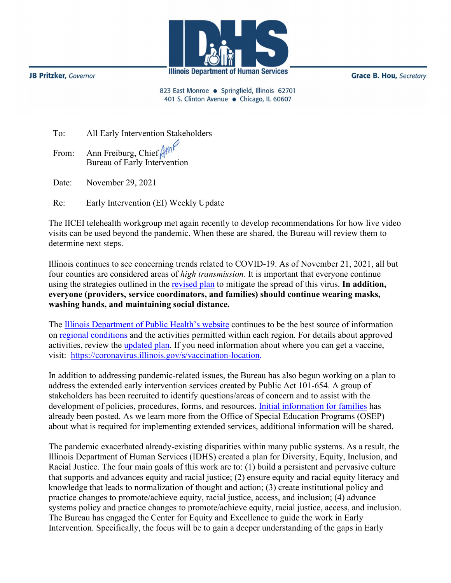

**JB Pritzker, Governor** 

**Grace B. Hou, Secretary** 

823 East Monroe · Springfield, Illinois 62701 401 S. Clinton Avenue · Chicago, IL 60607

| To: | All Early Intervention Stakeholders                                              |
|-----|----------------------------------------------------------------------------------|
|     | From: Ann Freiburg, Chief $\beta$ m <sup>2</sup><br>Bureau of Early Intervention |
|     | Date: November 29, 2021                                                          |

Re: Early Intervention (EI) Weekly Update

The IICEI telehealth workgroup met again recently to develop recommendations for how live video visits can be used beyond the pandemic. When these are shared, the Bureau will review them to determine next steps.

Illinois continues to see concerning trends related to COVID-19. As of November 21, 2021, all but four counties are considered areas of *high transmission*. It is important that everyone continue using the strategies outlined in the [revised plan](http://www.wiu.edu/coehs/provider_connections/pdf/Revised%20Early%20Intervention%20Plan%20for%20Resuming%20In-Person%20Services-06-23-21.pdf) to mitigate the spread of this virus. **In addition, everyone (providers, service coordinators, and families) should continue wearing masks, washing hands, and maintaining social distance.**

The [Illinois Department of Public Health's website](https://www.dph.illinois.gov/covid19) continues to be the best source of information on [regional conditions](https://www.dph.illinois.gov/regionmetrics?regionID=1) and the activities permitted within each region. For details about approved activities, review the [updated plan.](https://www2.illinois.gov/IISNews/22653-Illinois_Resurgence_Mitigation_Plan_-_January_15_2021_Update.pdf) If you need information about where you can get a vaccine, visit: [https://coronavirus.illinois.gov/s/vaccination-location.](https://coronavirus.illinois.gov/s/vaccination-location)

In addition to addressing pandemic-related issues, the Bureau has also begun working on a plan to address the extended early intervention services created by Public Act 101-654. A group of stakeholders has been recruited to identify questions/areas of concern and to assist with the development of policies, procedures, forms, and resources. [Initial information for families](http://www.wiu.edu/coehs/provider_connections/pdf/EI-ES%20Parent%20Notice%20Final%2020211028.pdf) has already been posted. As we learn more from the Office of Special Education Programs (OSEP) about what is required for implementing extended services, additional information will be shared.

The pandemic exacerbated already-existing disparities within many public systems. As a result, the Illinois Department of Human Services (IDHS) created a plan for Diversity, Equity, Inclusion, and Racial Justice. The four main goals of this work are to: (1) build a persistent and pervasive culture that supports and advances equity and racial justice; (2) ensure equity and racial equity literacy and knowledge that leads to normalization of thought and action; (3) create institutional policy and practice changes to promote/achieve equity, racial justice, access, and inclusion; (4) advance systems policy and practice changes to promote/achieve equity, racial justice, access, and inclusion. The Bureau has engaged the Center for Equity and Excellence to guide the work in Early Intervention. Specifically, the focus will be to gain a deeper understanding of the gaps in Early